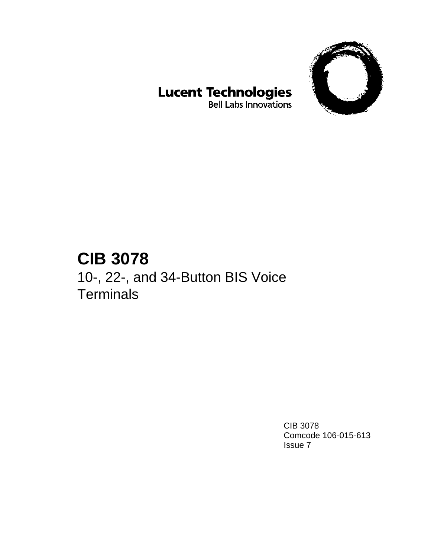

# **Lucent Technologies**<br>Bell Labs Innovations

## **CIB 3078**

10-, 22-, and 34-Button BIS Voice **Terminals** 

> CIB 3078 Comcode 106-015-613 Issue 7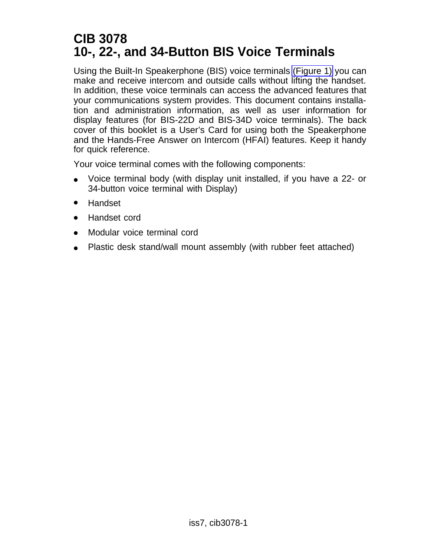### **CIB 3078 10-, 22-, and 34-Button BIS Voice Terminals**

Using the Built-In Speakerphone (BIS) voice terminals [\(Figure 1\)](#page-2-0) you can make and receive intercom and outside calls without lifting the handset. In addition, these voice terminals can access the advanced features that your communications system provides. This document contains installation and administration information, as well as user information for display features (for BIS-22D and BIS-34D voice terminals). The back cover of this booklet is a User's Card for using both the Speakerphone and the Hands-Free Answer on Intercom (HFAI) features. Keep it handy for quick reference.

Your voice terminal comes with the following components:

- Voice terminal body (with display unit installed, if you have a 22- or 34-button voice terminal with Display) ●
- Handset ●
- Handset cord ●
- Modular voice terminal cord ●
- Plastic desk stand/wall mount assembly (with rubber feet attached) ●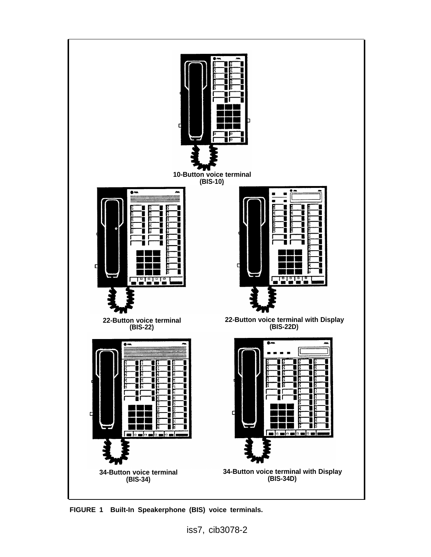<span id="page-2-0"></span>

**FIGURE 1 Built-In Speakerphone (BIS) voice terminals.**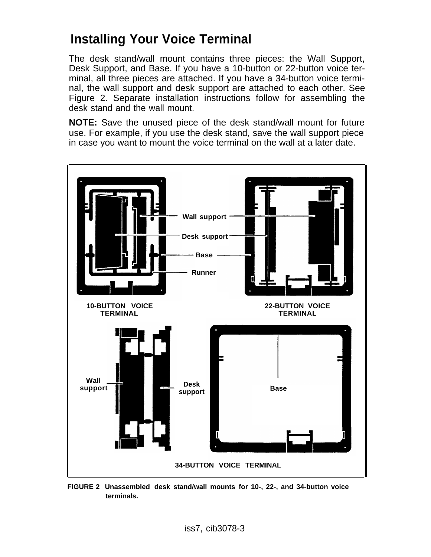### **Installing Your Voice Terminal**

The desk stand/wall mount contains three pieces: the Wall Support, Desk Support, and Base. If you have a 10-button or 22-button voice terminal, all three pieces are attached. If you have a 34-button voice terminal, the wall support and desk support are attached to each other. See Figure 2. Separate installation instructions follow for assembling the desk stand and the wall mount.

**NOTE:** Save the unused piece of the desk stand/wall mount for future use. For example, if you use the desk stand, save the wall support piece in case you want to mount the voice terminal on the wall at a later date.

<span id="page-3-0"></span>

**FIGURE 2 Unassembled desk stand/wall mounts for 10-, 22-, and 34-button voice terminals.**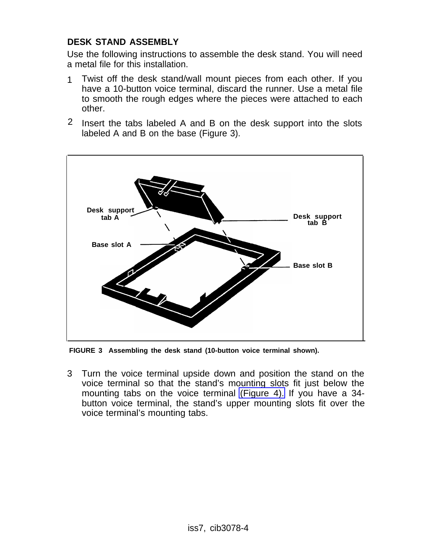#### **DESK STAND ASSEMBLY**

Use the following instructions to assemble the desk stand. You will need a metal file for this installation.

- Twist off the desk stand/wall mount pieces from each other. If you have a 10-button voice terminal, discard the runner. Use a metal file to smooth the rough edges where the pieces were attached to each other. 1
- 2 Insert the tabs labeled A and B on the desk support into the slots labeled A and B on the base (Figure 3).



**FIGURE 3 Assembling the desk stand (10-button voice terminal shown).**

3 Turn the voice terminal upside down and position the stand on the voice terminal so that the stand's mounting slots fit just below the mounting tabs on the voice terminal [\(Figure 4\).](#page-5-0) If you have a 34 button voice terminal, the stand's upper mounting slots fit over the voice terminal's mounting tabs.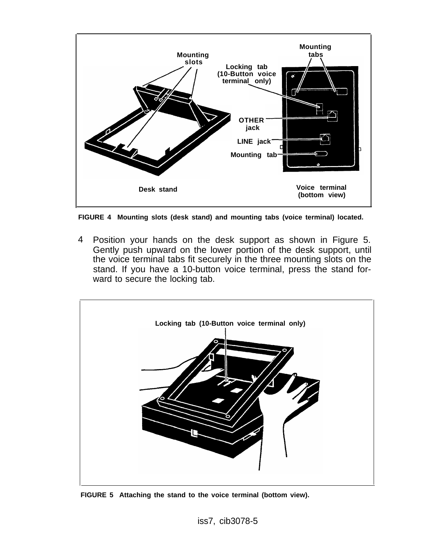<span id="page-5-0"></span>

**FIGURE 4 Mounting slots (desk stand) and mounting tabs (voice terminal) located.**

4 Position your hands on the desk support as shown in Figure 5. Gently push upward on the lower portion of the desk support, until the voice terminal tabs fit securely in the three mounting slots on the stand. If you have a 10-button voice terminal, press the stand forward to secure the locking tab.



**FIGURE 5 Attaching the stand to the voice terminal (bottom view).**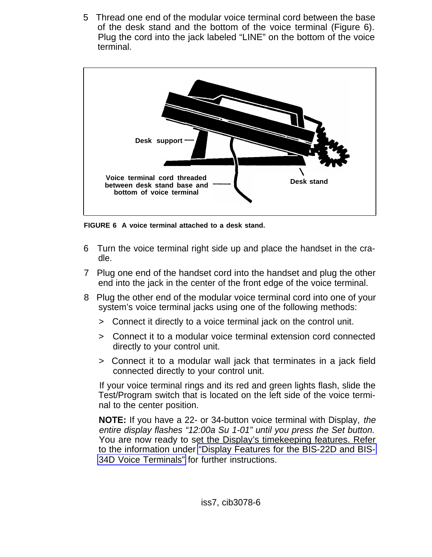5 Thread one end of the modular voice terminal cord between the base of the desk stand and the bottom of the voice terminal (Figure 6). Plug the cord into the jack labeled "LINE" on the bottom of the voice terminal.



**FIGURE 6 A voice terminal attached to a desk stand.**

- 6 Turn the voice terminal right side up and place the handset in the cradle.
- 7 Plug one end of the handset cord into the handset and plug the other end into the jack in the center of the front edge of the voice terminal.
- 8 Plug the other end of the modular voice terminal cord into one of your system's voice terminal jacks using one of the following methods:
	- > Connect it directly to a voice terminal jack on the control unit.
	- > Connect it to a modular voice terminal extension cord connected directly to your control unit.
	- > Connect it to a modular wall jack that terminates in a jack field connected directly to your control unit.

If your voice terminal rings and its red and green lights flash, slide the Test/Program switch that is located on the left side of the voice terminal to the center position.

**NOTE:** If you have a 22- or 34-button voice terminal with Display, the entire display flashes "12:00a Su 1-01" until you press the Set button. You are now ready to set the Display's timekeeping features. Refer to the information under ["Display Features for the BIS-22D and BIS-](#page-20-0)[34D Voice Terminals"](#page-20-0) for further instructions.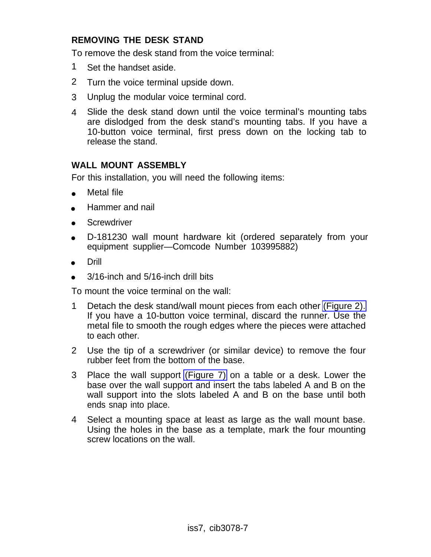#### **REMOVING THE DESK STAND**

To remove the desk stand from the voice terminal:

- 1 Set the handset aside.
- 2 Turn the voice terminal upside down.
- 3 Unplug the modular voice terminal cord.
- 4 Slide the desk stand down until the voice terminal's mounting tabs are dislodged from the desk stand's mounting tabs. If you have a 10-button voice terminal, first press down on the locking tab to release the stand.

#### **WALL MOUNT ASSEMBLY**

For this installation, you will need the following items:

- $\bullet$ Metal file
- Hammer and nail
- **Screwdriver**
- D-181230 wall mount hardware kit (ordered separately from your equipment supplier—Comcode Number 103995882)
- Drill
- 3/16-inch and 5/16-inch drill bits

To mount the voice terminal on the wall:

- 1 Detach the desk stand/wall mount pieces from each other [\(Figure 2\).](#page-3-0) If you have a 10-button voice terminal, discard the runner. Use the metal file to smooth the rough edges where the pieces were attached to each other.
- 2 Use the tip of a screwdriver (or similar device) to remove the four rubber feet from the bottom of the base.
- 3 Place the wall support [\(Figure 7\)](#page-8-0) on a table or a desk. Lower the base over the wall support and insert the tabs labeled A and B on the wall support into the slots labeled A and B on the base until both ends snap into place.
- 4 Select a mounting space at least as large as the wall mount base. Using the holes in the base as a template, mark the four mounting screw locations on the wall.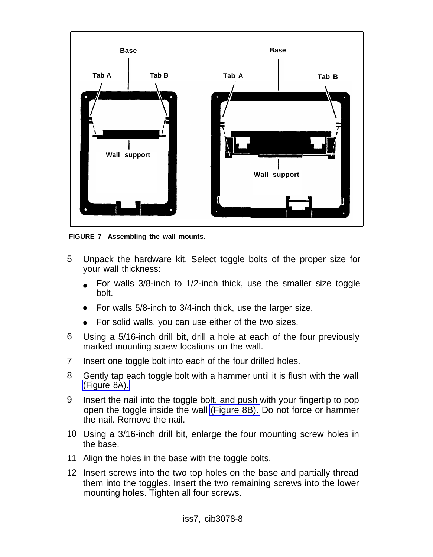<span id="page-8-0"></span>

**FIGURE 7 Assembling the wall mounts.**

- 5 Unpack the hardware kit. Select toggle bolts of the proper size for your wall thickness:
	- For walls 3/8-inch to 1/2-inch thick, use the smaller size toggle bolt.
	- For walls 5/8-inch to 3/4-inch thick, use the larger size.
	- For solid walls, you can use either of the two sizes.
- 6 Using a 5/16-inch drill bit, drill a hole at each of the four previously marked mounting screw locations on the wall.
- 7 Insert one toggle bolt into each of the four drilled holes.
- 8 Gently tap each toggle bolt with a hammer until it is flush with the wall [\(Figure 8A\).](#page-9-0)
- 9 Insert the nail into the toggle bolt, and push with your fingertip to pop open the toggle inside the wall [\(Figure 8B\).](#page-9-0) Do not force or hammer the nail. Remove the nail.
- 10 Using a 3/16-inch drill bit, enlarge the four mounting screw holes in the base.
- 11 Align the holes in the base with the toggle bolts.
- 12 Insert screws into the two top holes on the base and partially thread them into the toggles. Insert the two remaining screws into the lower mounting holes. Tighten all four screws.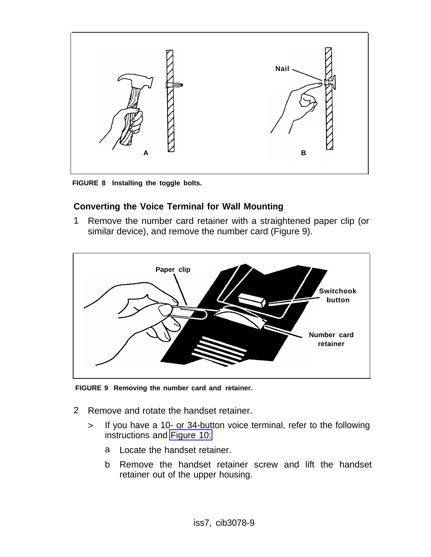<span id="page-9-0"></span>

**FIGURE 8 Installing the toggle bolts.**

#### **Converting the Voice Terminal for Wall Mounting**

1 Remove the number card retainer with a straightened paper clip (or similar device), and remove the number card (Figure 9).



**FIGURE 9 Removing the number card and retainer.**

- 2 Remove and rotate the handset retainer.
	- > If you have a 10- or 34-button voice terminal, refer to the following instructions and [Figure 10:](#page-10-0)
		- a Locate the handset retainer.
		- b Remove the handset retainer screw and lift the handset retainer out of the upper housing.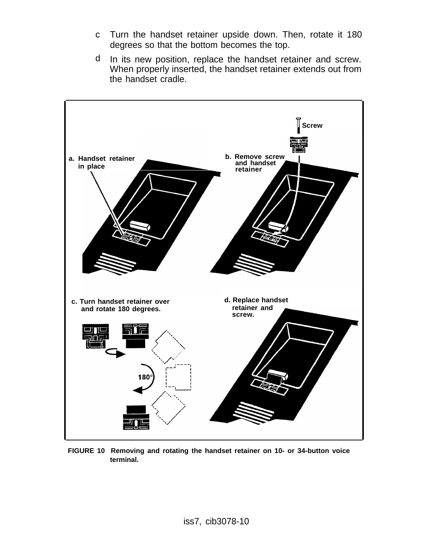- c Turn the handset retainer upside down. Then, rotate it 180 degrees so that the bottom becomes the top.
- d In its new position, replace the handset retainer and screw. When properly inserted, the handset retainer extends out from the handset cradle.

<span id="page-10-0"></span>

**FIGURE 10 Removing and rotating the handset retainer on 10- or 34-button voice terminal.**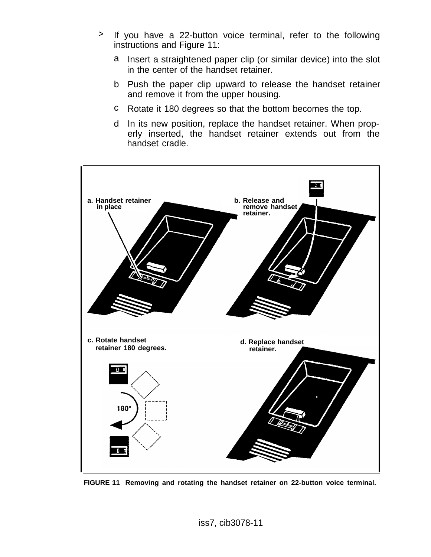- > If you have a 22-button voice terminal, refer to the following instructions and Figure 11:
	- a Insert a straightened paper clip (or similar device) into the slot in the center of the handset retainer.
	- b Push the paper clip upward to release the handset retainer and remove it from the upper housing.
	- c Rotate it 180 degrees so that the bottom becomes the top.
	- d In its new position, replace the handset retainer. When properly inserted, the handset retainer extends out from the handset cradle.



**FIGURE 11 Removing and rotating the handset retainer on 22-button voice terminal.**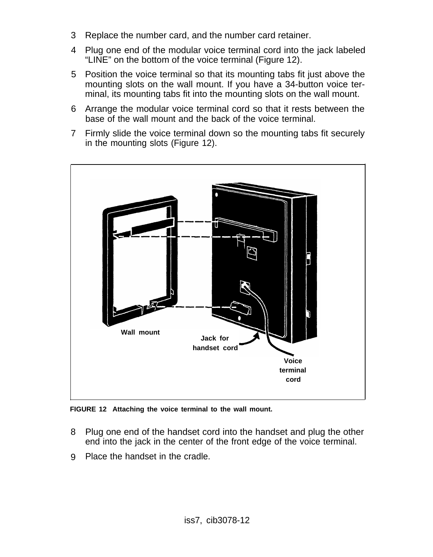- 3 Replace the number card, and the number card retainer.
- 4 Plug one end of the modular voice terminal cord into the jack labeled "LINE" on the bottom of the voice terminal (Figure 12).
- 5 Position the voice terminal so that its mounting tabs fit just above the mounting slots on the wall mount. If you have a 34-button voice terminal, its mounting tabs fit into the mounting slots on the wall mount.
- 6 Arrange the modular voice terminal cord so that it rests between the base of the wall mount and the back of the voice terminal.
- 7 Firmly slide the voice terminal down so the mounting tabs fit securely in the mounting slots (Figure 12).



**FIGURE 12 Attaching the voice terminal to the wall mount.**

- 8 Plug one end of the handset cord into the handset and plug the other end into the jack in the center of the front edge of the voice terminal.
- 9 Place the handset in the cradle.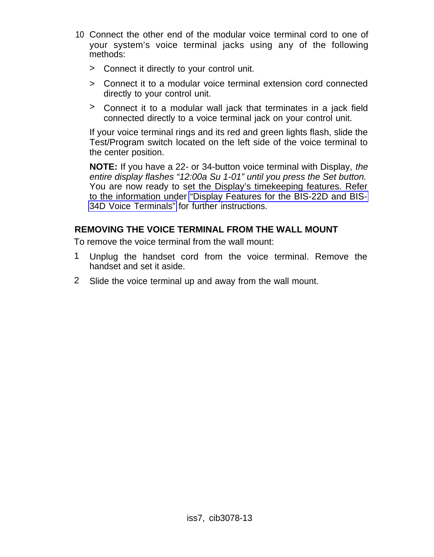- 10 Connect the other end of the modular voice terminal cord to one of your system's voice terminal jacks using any of the following methods:
	- > Connect it directly to your control unit.
	- > Connect it to a modular voice terminal extension cord connected directly to your control unit.
	- > Connect it to a modular wall jack that terminates in a jack field connected directly to a voice terminal jack on your control unit.

If your voice terminal rings and its red and green lights flash, slide the Test/Program switch located on the left side of the voice terminal to the center position.

**NOTE:** If you have a 22- or 34-button voice terminal with Display, the entire display flashes "12:00a Su 1-01" until you press the Set button. You are now ready to set the Display's timekeeping features. Refer to the information under ["Display Features for the BIS-22D and BIS-](#page-20-1)[34D Voice Terminals"](#page-20-1) for further instructions.

#### **REMOVING THE VOICE TERMINAL FROM THE WALL MOUNT**

To remove the voice terminal from the wall mount:

- 1 Unplug the handset cord from the voice terminal. Remove the handset and set it aside.
- 2 Slide the voice terminal up and away from the wall mount.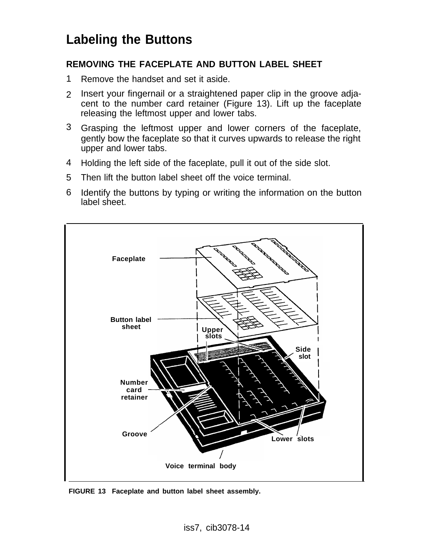### **Labeling the Buttons**

#### <span id="page-14-0"></span>**REMOVING THE FACEPLATE AND BUTTON LABEL SHEET**

- 1 Remove the handset and set it aside.
- 2 Insert your fingernail or a straightened paper clip in the groove adjacent to the number card retainer (Figure 13). Lift up the faceplate releasing the leftmost upper and lower tabs.
- 3 Grasping the leftmost upper and lower corners of the faceplate, gently bow the faceplate so that it curves upwards to release the right upper and lower tabs.
- 4 Holding the left side of the faceplate, pull it out of the side slot.
- Then lift the button label sheet off the voice terminal. 5
- 6 Identify the buttons by typing or writing the information on the button label sheet.



**FIGURE 13 Faceplate and button label sheet assembly.**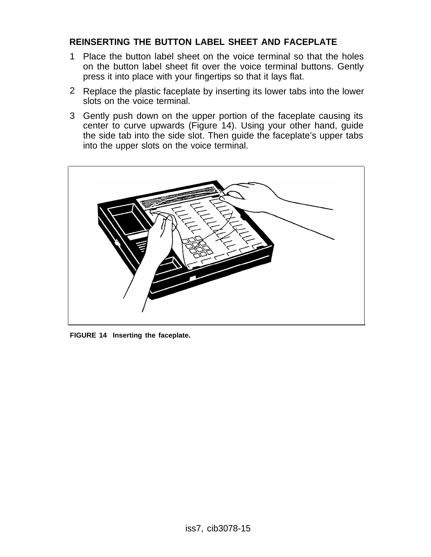#### <span id="page-15-0"></span>**REINSERTING THE BUTTON LABEL SHEET AND FACEPLATE**

- 1 Place the button label sheet on the voice terminal so that the holes on the button label sheet fit over the voice terminal buttons. Gently press it into place with your fingertips so that it lays flat.
- 2 Replace the plastic faceplate by inserting its lower tabs into the lower slots on the voice terminal.
- 3 Gently push down on the upper portion of the faceplate causing its center to curve upwards (Figure 14). Using your other hand, guide the side tab into the side slot. Then guide the faceplate's upper tabs into the upper slots on the voice terminal.



**FIGURE 14 Inserting the faceplate.**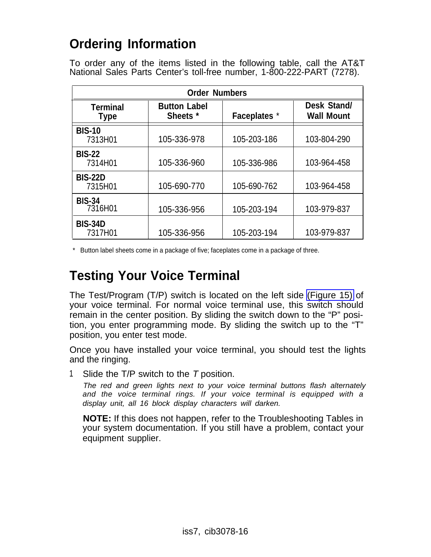### **Ordering Information**

To order any of the items listed in the following table, call the AT&T National Sales Parts Center's toll-free number, 1-800-222-PART (7278).

| <b>Order Numbers</b>                    |                                        |                     |                                  |  |
|-----------------------------------------|----------------------------------------|---------------------|----------------------------------|--|
| <b>Terminal</b><br>Type                 | <b>Button Label</b><br><b>Sheets</b> * | <b>Faceplates</b> * | Desk Stand/<br><b>Wall Mount</b> |  |
| <b>BIS-10</b><br>7313H01                | 105-336-978                            | 105-203-186         | 103-804-290                      |  |
| <b>BIS-22</b><br>7314H01                | 105-336-960                            | 105-336-986         | 103-964-458                      |  |
| <b>BIS-22D</b><br>7315H01               | 105-690-770                            | 105-690-762         | 103-964-458                      |  |
| <b>BIS-34</b><br>7316H01<br>105-336-956 |                                        | 105-203-194         | 103-979-837                      |  |
| <b>BIS-34D</b><br>7317H01               | 105-336-956                            | 105-203-194         | 103-979-837                      |  |

\* Button label sheets come in a package of five; faceplates come in a package of three.

### **Testing Your Voice Terminal**

The Test/Program (T/P) switch is located on the left side [\(Figure 15\)](#page-17-0) of your voice terminal. For normal voice terminal use, this switch should remain in the center position. By sliding the switch down to the "P" position, you enter programming mode. By sliding the switch up to the "T" position, you enter test mode.

Once you have installed your voice terminal, you should test the lights and the ringing.

1 Slide the T/P switch to the T position.

The red and green lights next to your voice terminal buttons flash alternately and the voice terminal rings. If your voice terminal is equipped with a display unit, all 16 block display characters will darken.

**NOTE:** If this does not happen, refer to the Troubleshooting Tables in your system documentation. If you still have a problem, contact your equipment supplier.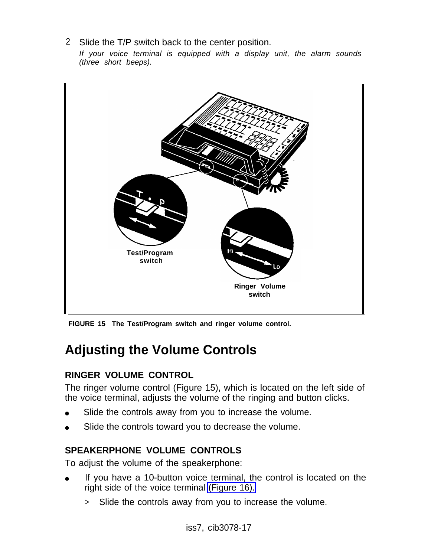2 Slide the T/P switch back to the center position.

If your voice terminal is equipped with a display unit, the alarm sounds (three short beeps).

<span id="page-17-0"></span>

<span id="page-17-1"></span>**FIGURE 15 The Test/Program switch and ringer volume control.**

### **Adjusting the Volume Controls**

#### **RINGER VOLUME CONTROL**

The ringer volume control (Figure 15), which is located on the left side of the voice terminal, adjusts the volume of the ringing and button clicks.

- Slide the controls away from you to increase the volume.
- Slide the controls toward you to decrease the volume.

#### **SPEAKERPHONE VOLUME CONTROLS**

To adjust the volume of the speakerphone:

- If you have a 10-button voice terminal, the control is located on the right side of the voice terminal [\(Figure 16\).](#page-18-0)
	- > Slide the controls away from you to increase the volume.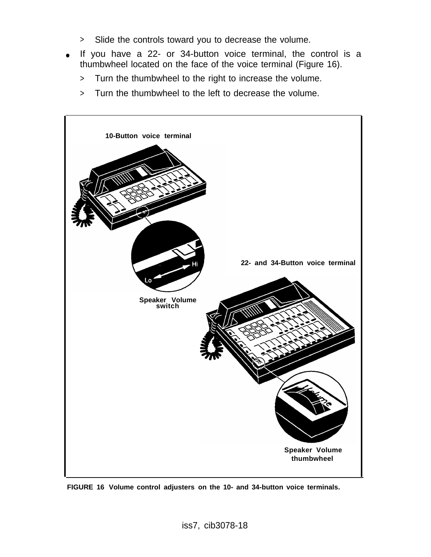- > Slide the controls toward you to decrease the volume.
- If you have a 22- or 34-button voice terminal, the control is a thumbwheel located on the face of the voice terminal (Figure 16).
	- > Turn the thumbwheel to the right to increase the volume.
	- > Turn the thumbwheel to the left to decrease the volume.

<span id="page-18-0"></span>

**FIGURE 16 Volume control adjusters on the 10- and 34-button voice terminals.**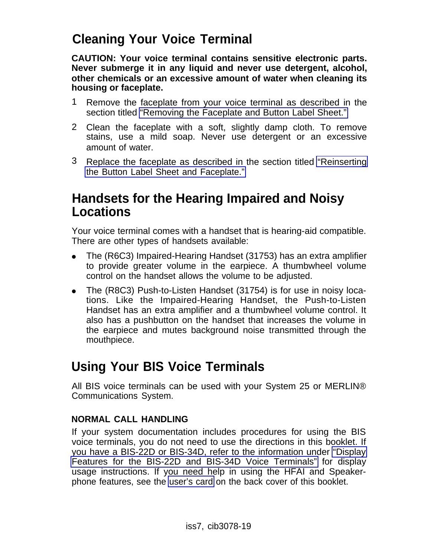### **Cleaning Your Voice Terminal**

**CAUTION: Your voice terminal contains sensitive electronic parts. Never submerge it in any liquid and never use detergent, alcohol, other chemicals or an excessive amount of water when cleaning its housing or faceplate.**

- 1 Remove the faceplate from your voice terminal as described in the section titled ["Removing the Faceplate and Button Label Sheet."](#page-14-0)
- 2 Clean the faceplate with a soft, slightly damp cloth. To remove stains, use a mild soap. Never use detergent or an excessive amount of water.
- 3 Replace the faceplate as described in the section titled ["Reinserting](#page-15-0) [the Button Label Sheet and Faceplate."](#page-15-0)

### **Handsets for the Hearing Impaired and Noisy Locations**

Your voice terminal comes with a handset that is hearing-aid compatible. There are other types of handsets available:

- The (R6C3) Impaired-Hearing Handset (31753) has an extra amplifier to provide greater volume in the earpiece. A thumbwheel volume control on the handset allows the volume to be adjusted.
- $\bullet$ The (R8C3) Push-to-Listen Handset (31754) is for use in noisy locations. Like the Impaired-Hearing Handset, the Push-to-Listen Handset has an extra amplifier and a thumbwheel volume control. It also has a pushbutton on the handset that increases the volume in the earpiece and mutes background noise transmitted through the mouthpiece.

### **Using Your BIS Voice Terminals**

All BIS voice terminals can be used with your System 25 or MERLIN® Communications System.

#### **NORMAL CALL HANDLING**

If your system documentation includes procedures for using the BIS voice terminals, you do not need to use the directions in this booklet. If you have a BIS-22D or BIS-34D, refer to the information under ["Display](#page-20-2) [Features for the BIS-22D and BIS-34D Voice Terminals"](#page-20-2) for display usage instructions. If you need help in using the HFAI and Speakerphone features, see the [user's card](#page-27-0) on the back cover of this booklet.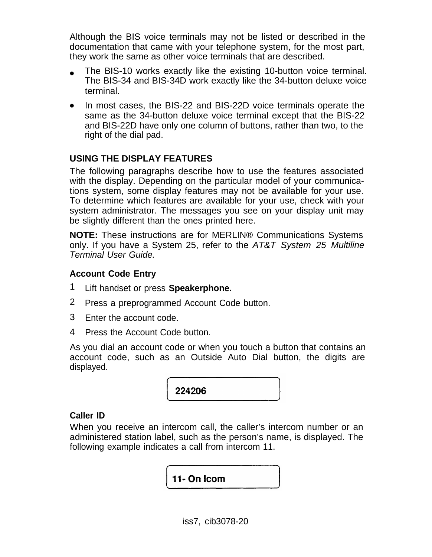Although the BIS voice terminals may not be listed or described in the documentation that came with your telephone system, for the most part, they work the same as other voice terminals that are described.

- The BIS-10 works exactly like the existing 10-button voice terminal. The BIS-34 and BIS-34D work exactly like the 34-button deluxe voice terminal.
- In most cases, the BIS-22 and BIS-22D voice terminals operate the same as the 34-button deluxe voice terminal except that the BIS-22 and BIS-22D have only one column of buttons, rather than two, to the right of the dial pad.

#### <span id="page-20-2"></span><span id="page-20-1"></span><span id="page-20-0"></span>**USING THE DISPLAY FEATURES**

The following paragraphs describe how to use the features associated with the display. Depending on the particular model of your communications system, some display features may not be available for your use. To determine which features are available for your use, check with your system administrator. The messages you see on your display unit may be slightly different than the ones printed here.

**NOTE:** These instructions are for MERLIN® Communications Systems only. If you have a System 25, refer to the AT&T System 25 Multiline Terminal User Guide.

#### **Account Code Entry**

- Lift handset or press **Speakerphone.** 1
- Press a preprogrammed Account Code button. 2
- 3 Enter the account code.
- 4 Press the Account Code button.

As you dial an account code or when you touch a button that contains an account code, such as an Outside Auto Dial button, the digits are displayed.

224206

#### **Caller ID**

When you receive an intercom call, the caller's intercom number or an administered station label, such as the person's name, is displayed. The following example indicates a call from intercom 11.

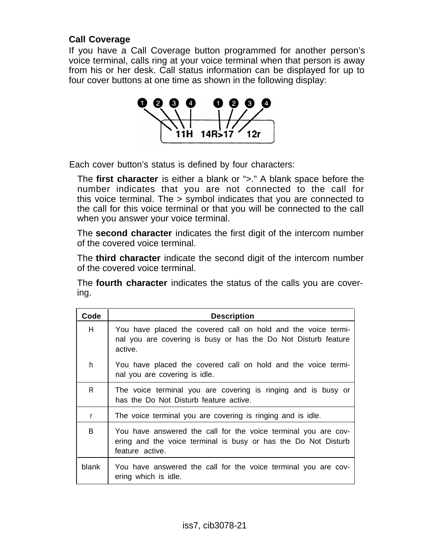#### **Call Coverage**

If you have a Call Coverage button programmed for another person's voice terminal, calls ring at your voice terminal when that person is away from his or her desk. Call status information can be displayed for up to four cover buttons at one time as shown in the following display:



Each cover button's status is defined by four characters:

The **first character** is either a blank or ">." A blank space before the number indicates that you are not connected to the call for this voice terminal. The > symbol indicates that you are connected to the call for this voice terminal or that you will be connected to the call when you answer your voice terminal.

The **second character** indicates the first digit of the intercom number of the covered voice terminal.

The **third character** indicate the second digit of the intercom number of the covered voice terminal.

The **fourth character** indicates the status of the calls you are covering.

| Code         | <b>Description</b>                                                                                                                                  |
|--------------|-----------------------------------------------------------------------------------------------------------------------------------------------------|
| H            | You have placed the covered call on hold and the voice termi-<br>nal you are covering is busy or has the Do Not Disturb feature<br>active.          |
| h            | You have placed the covered call on hold and the voice termi-<br>nal you are covering is idle.                                                      |
| $\mathsf{R}$ | The voice terminal you are covering is ringing and is busy or<br>has the Do Not Disturb feature active.                                             |
| r            | The voice terminal you are covering is ringing and is idle.                                                                                         |
| B            | You have answered the call for the voice terminal you are cov-<br>ering and the voice terminal is busy or has the Do Not Disturb<br>feature active. |
| blank        | You have answered the call for the voice terminal you are cov-<br>ering which is idle.                                                              |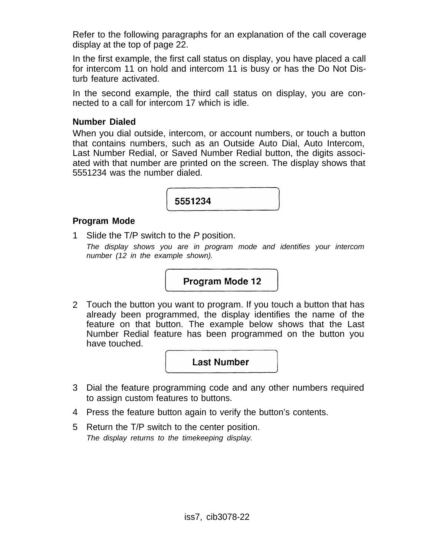Refer to the following paragraphs for an explanation of the call coverage display at the top of page 22.

In the first example, the first call status on display, you have placed a call for intercom 11 on hold and intercom 11 is busy or has the Do Not Disturb feature activated.

In the second example, the third call status on display, you are connected to a call for intercom 17 which is idle.

#### **Number Dialed**

When you dial outside, intercom, or account numbers, or touch a button that contains numbers, such as an Outside Auto Dial, Auto Intercom, Last Number Redial, or Saved Number Redial button, the digits associated with that number are printed on the screen. The display shows that 5551234 was the number dialed.



#### <span id="page-22-0"></span>**Program Mode**

1 Slide the T/P switch to the P position. The display shows you are in program mode and identifies your intercom number (12 in the example shown).

#### Program Mode 12

2 Touch the button you want to program. If you touch a button that has already been programmed, the display identifies the name of the have touched. feature on that button. The example below shows that the Last Number Redial feature has been programmed on the button you

**Last Number** 

- 3 Dial the feature programming code and any other numbers required to assign custom features to buttons.
- 4 Press the feature button again to verify the button's contents.
- 5 Return the T/P switch to the center position. The display returns to the timekeeping display.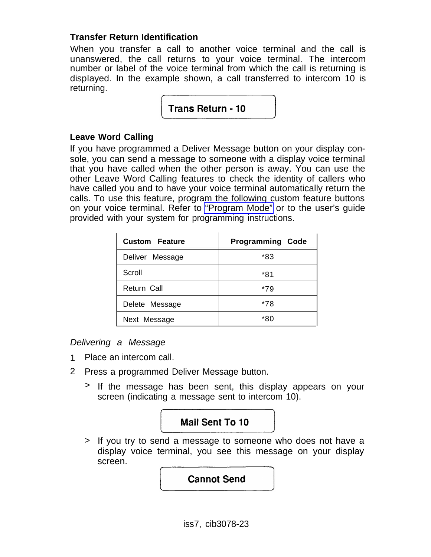#### **Transfer Return Identification**

When you transfer a call to another voice terminal and the call is unanswered, the call returns to your voice terminal. The intercom number or label of the voice terminal from which the call is returning is dispIayed. In the example shown, a call transferred to intercom 10 is returning.

Trans Return - 10

#### **Leave Word Calling**

If you have programmed a Deliver Message button on your display console, you can send a message to someone with a display voice terminal that you have called when the other person is away. You can use the other Leave Word Calling features to check the identity of callers who have called you and to have your voice terminal automatically return the calls. To use this feature, program the following custom feature buttons on your voice terminal. Refer to ["Program Mode"](#page-22-0) or to the user's guide provided with your system for programming instructions.

| <b>Custom Feature</b> | <b>Programming Code</b> |  |
|-----------------------|-------------------------|--|
| Deliver Message       | *83                     |  |
| Scroll                | *81                     |  |
| Return Call           | *79                     |  |
| Delete Message        | *78                     |  |
| Next Message          | *80                     |  |

Delivering a Message

- 1 Place an intercom call.
- 2 Press a programmed Deliver Message button.
	- > If the message has been sent, this display appears on your screen (indicating a message sent to intercom 10).



> If you try to send a message to someone who does not have a display voice terminal, you see this message on your display screen.

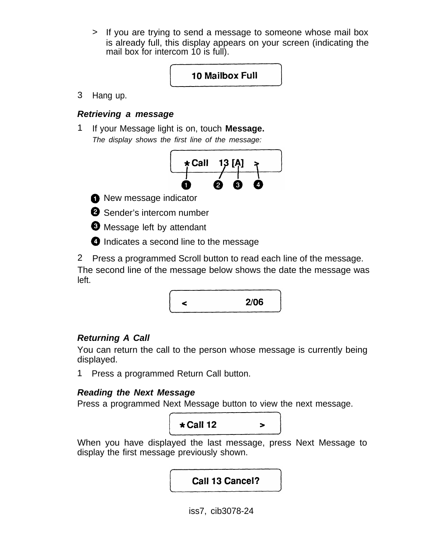> If you are trying to send a message to someone whose mail box is already full, this display appears on your screen (indicating the mail box for intercom 10 is full).

#### 10 Mailbox Full

3 Hang up.

#### **Retrieving a message**

1 If your Message light is on, touch **Message.** The display shows the first line of the message:



**O** New message indicator



**Message left by attendant** 

**O** Indicates a second line to the message

2 Press a programmed Scroll button to read each line of the message. The second line of the message below shows the date the message was left.



#### **Returning A Call**

You can return the call to the person whose message is currently being displayed.

1 Press a programmed Return Call button.

#### **Reading the Next Message**

Press a programmed Next Message button to view the next message.



When you have displayed the last message, press Next Message to display the first message previously shown.

Call 13 Cancel?

iss7, cib3078-24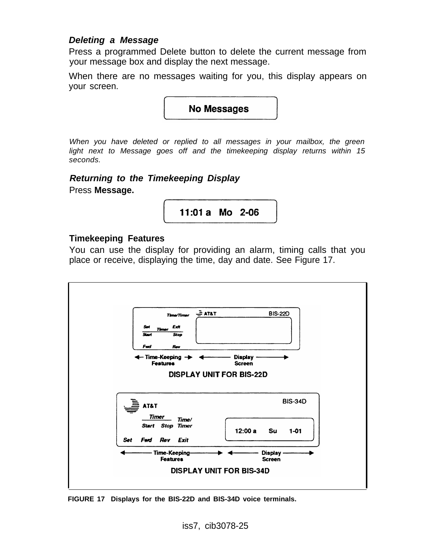#### **Deleting a Message**

Press a programmed Delete button to delete the current message from your message box and display the next message.

When there are no messages waiting for you, this display appears on your screen.

**No Messages** 

When you have deleted or replied to all messages in your mailbox, the green light next to Message goes off and the timekeeping display returns within 15 seconds.

**Returning to the Timekeeping Display** Press **Message.**

11:01 a Mo 2-06

#### **Timekeeping Features**

You can use the display for providing an alarm, timing calls that you place or receive, displaying the time, day and date. See Figure 17.



**FIGURE 17 Displays for the BIS-22D and BIS-34D voice terminals.**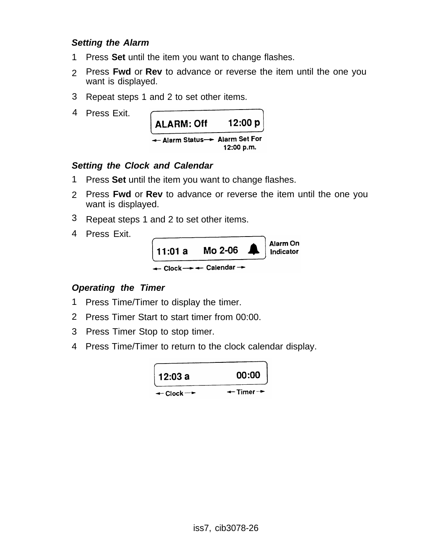#### **Setting the Alarm**

- 1 Press **Set** until the item you want to change flashes.
- 2 Press **Fwd** or **Rev** to advance or reverse the item until the one you want is displayed.
- 3 Repeat steps 1 and 2 to set other items.
- 4 Press Exit.



#### **Setting the Clock and Calendar**

- 1 Press **Set** until the item you want to change flashes.
- 2 Press **Fwd** or **Rev** to advance or reverse the item until the one you want is displayed.
- 3 Repeat steps 1 and 2 to set other items.
- 4 Press Exit.



#### **Operating the Timer**

- 1 Press Time/Timer to display the timer.
- 2 Press Timer Start to start timer from 00:00.
- 3 Press Timer Stop to stop timer.
- 4 Press Time/Timer to return to the clock calendar display.

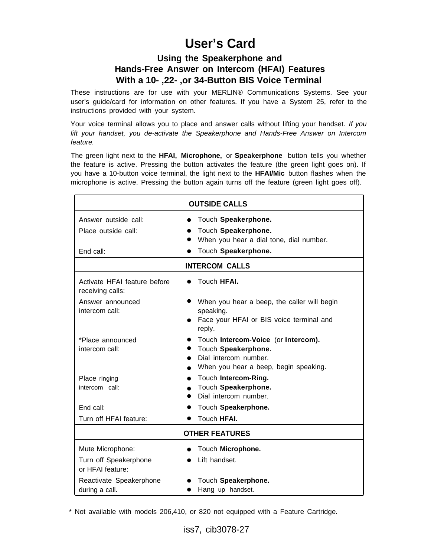### **User's Card**

#### **Using the Speakerphone and Hands-Free Answer on Intercom (HFAI) Features With a 10- ,22- ,or 34-Button BIS Voice Terminal**

<span id="page-27-0"></span>These instructions are for use with your MERLIN® Communications Systems. See your user's guide/card for information on other features. If you have a System 25, refer to the instructions provided with your system.

Your voice terminal allows you to place and answer calls without lifting your handset. If you lift your handset, you de-activate the Speakerphone and Hands-Free Answer on Intercom feature.

The green light next to the **HFAI, Microphone,** or **Speakerphone** button tells you whether the feature is active. Pressing the button activates the feature (the green light goes on). If you have a 10-button voice terminal, the light next to the **HFAI/Mic** button flashes when the microphone is active. Pressing the button again turns off the feature (green light goes off).

| <b>OUTSIDE CALLS</b>                             |                                                           |  |
|--------------------------------------------------|-----------------------------------------------------------|--|
| Answer outside call:                             | Touch Speakerphone.<br>$\bullet$                          |  |
| Place outside call:                              | Touch Speakerphone.                                       |  |
|                                                  | When you hear a dial tone, dial number.                   |  |
| End call:                                        | Touch Speakerphone.                                       |  |
| <b>INTERCOM CALLS</b>                            |                                                           |  |
| Activate HFAI feature before<br>receiving calls: | Touch HFAI.                                               |  |
| Answer announced<br>intercom call:               | When you hear a beep, the caller will begin<br>speaking.  |  |
|                                                  | Face your HFAI or BIS voice terminal and<br>reply.        |  |
| *Place announced                                 | Touch Intercom-Voice (or Intercom).<br>$\bullet$          |  |
| intercom call:                                   | Touch Speakerphone.<br>$\bullet$<br>Dial intercom number. |  |
|                                                  | $\bullet$<br>When you hear a beep, begin speaking.        |  |
| Place ringing                                    | Touch Intercom-Ring.<br>$\bullet$                         |  |
| intercom call:                                   | Touch Speakerphone.                                       |  |
|                                                  | Dial intercom number.<br>$\bullet$                        |  |
| End call:                                        | Touch Speakerphone.                                       |  |
| Turn off HFAI feature:                           | Touch HFAI.                                               |  |
| <b>OTHER FEATURES</b>                            |                                                           |  |
| Mute Microphone:                                 | Touch Microphone.                                         |  |
| Turn off Speakerphone<br>or HFAI feature:        | Lift handset.                                             |  |
| Reactivate Speakerphone                          | Touch Speakerphone.                                       |  |
| during a call.                                   | Hang up handset.                                          |  |

\* Not available with models 206,410, or 820 not equipped with a Feature Cartridge.